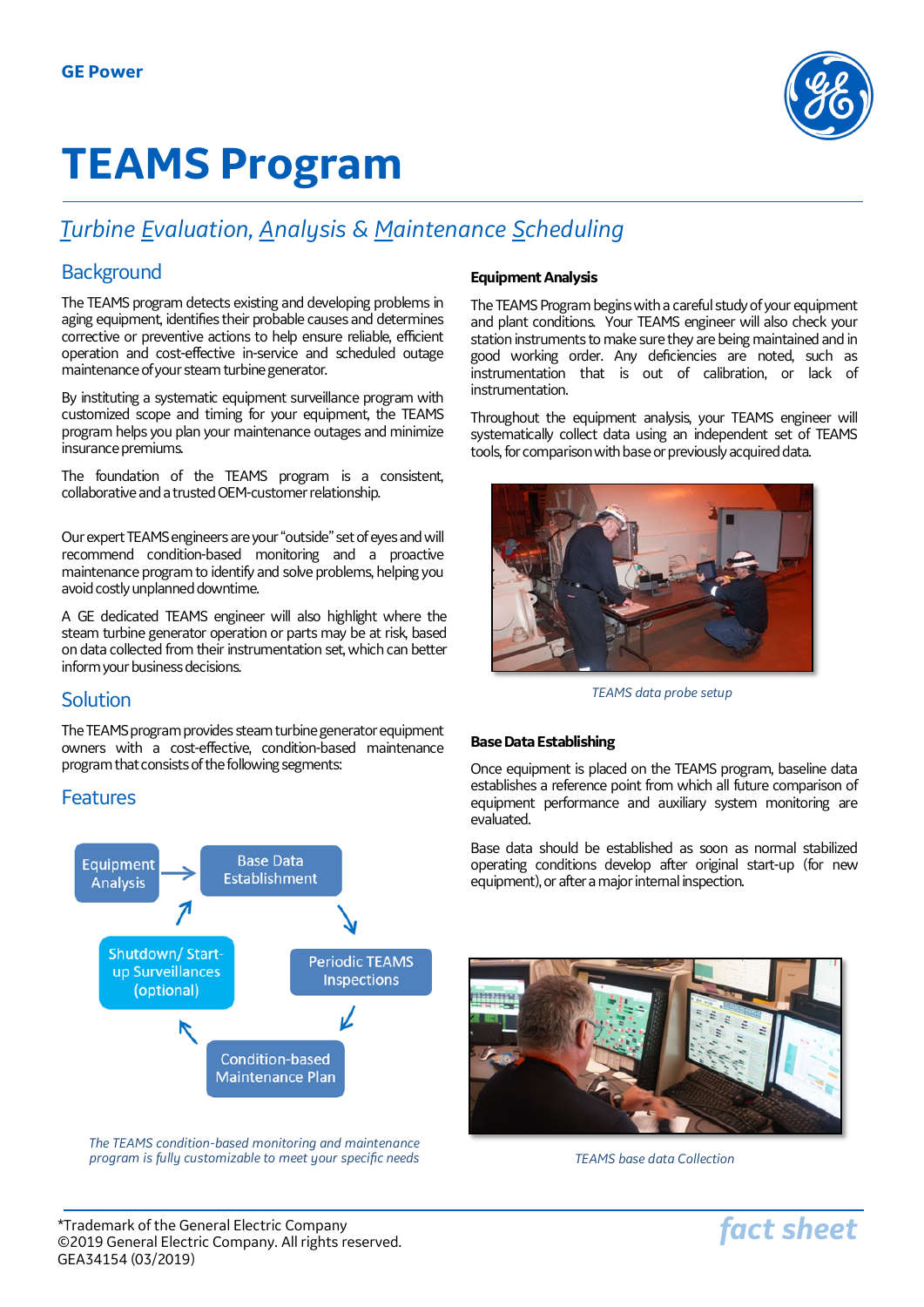

# **TEAMS Program**

## *Turbine Evaluation, Analysis & Maintenance Scheduling*

## **Background**

The TEAMS program detects existing and developing problems in aging equipment, identifies their probable causes and determines corrective or preventive actions to help ensure reliable, efficient operation and cost-effective in-service and scheduled outage maintenance of your steam turbine generator.

By instituting a systematic equipment surveillance program with customized scope and timing for your equipment, the TEAMS program helps you plan your maintenance outages and minimize insurance premiums.

The foundation of the TEAMS program is a consistent, collaborative and a trusted OEM-customer relationship.

Our expert TEAMS engineers are your "outside" set of eyes and will recommend condition-based monitoring and a proactive maintenance program to identify and solve problems, helping you avoid costly unplanned downtime.

A GE dedicated TEAMS engineer will also highlight where the steam turbine generator operation or parts may be at risk, based on data collected from their instrumentation set, which can better inform your business decisions.

## **Solution**

The TEAMS program provides steam turbine generator equipment owners with a cost-effective, condition-based maintenance program that consists of the following segments:

## Features



*The TEAMS condition-based monitoring and maintenance program is fully customizable to meet your specific needs*

#### **Equipment Analysis**

The TEAMS Program begins with a careful study of your equipment and plant conditions. Your TEAMS engineer will also check your station instruments to make sure they are being maintained and in good working order. Any deficiencies are noted, such as instrumentation that is out of calibration, or lack of instrumentation.

Throughout the equipment analysis, your TEAMS engineer will systematically collect data using an independent set of TEAMS tools, for comparison with base or previously acquired data.



*TEAMS data probe setup*

#### **Base Data Establishing**

Once equipment is placed on the TEAMS program, baseline data establishes a reference point from which all future comparison of equipment performance and auxiliary system monitoring are evaluated.

Base data should be established as soon as normal stabilized operating conditions develop after original start-up (for new equipment), or after a major internal inspection.



*TEAMS base data Collection*